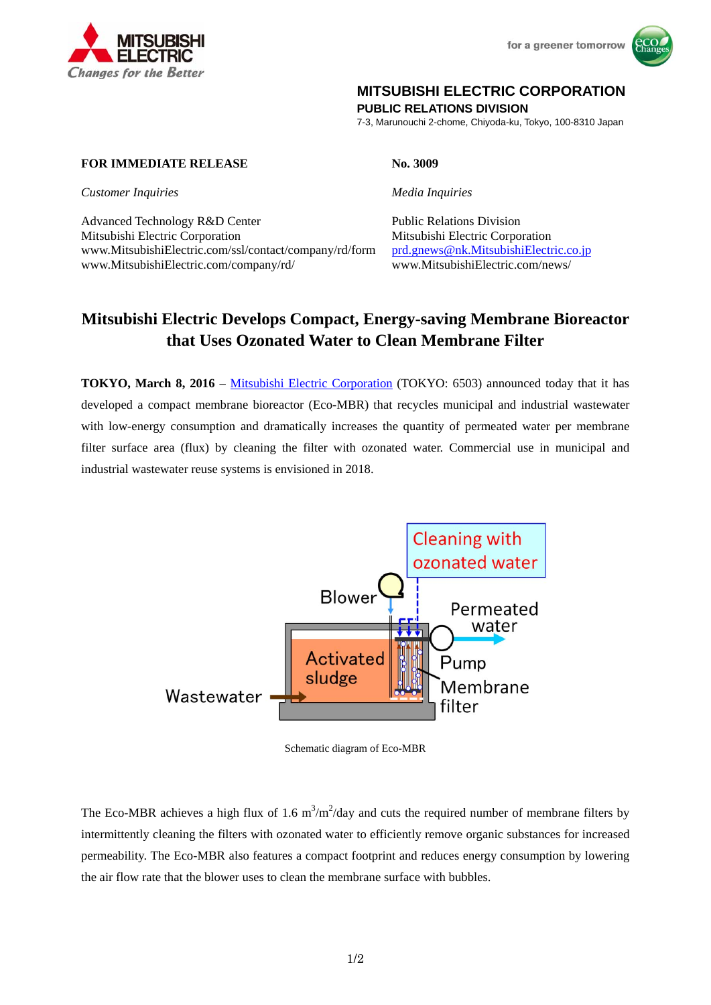



## **MITSUBISHI ELECTRIC CORPORATION**

**PUBLIC RELATIONS DIVISION** 

7-3, Marunouchi 2-chome, Chiyoda-ku, Tokyo, 100-8310 Japan

## **FOR IMMEDIATE RELEASE No. 3009**

*Customer Inquiries Media Inquiries*

Advanced Technology R&D Center Public Relations Division Mitsubishi Electric Corporation Mitsubishi Electric Corporation www.MitsubishiElectric.com/ssl/contact/company/rd/form prd.gnews@nk.MitsubishiElectric.co.jp www.MitsubishiElectric.com/company/rd/ www.MitsubishiElectric.com/news/

# **Mitsubishi Electric Develops Compact, Energy-saving Membrane Bioreactor that Uses Ozonated Water to Clean Membrane Filter**

**TOKYO, March 8, 2016** – Mitsubishi Electric Corporation (TOKYO: 6503) announced today that it has developed a compact membrane bioreactor (Eco-MBR) that recycles municipal and industrial wastewater with low-energy consumption and dramatically increases the quantity of permeated water per membrane filter surface area (flux) by cleaning the filter with ozonated water. Commercial use in municipal and industrial wastewater reuse systems is envisioned in 2018.



Schematic diagram of Eco-MBR

The Eco-MBR achieves a high flux of 1.6  $m^3/m^2$ /day and cuts the required number of membrane filters by intermittently cleaning the filters with ozonated water to efficiently remove organic substances for increased permeability. The Eco-MBR also features a compact footprint and reduces energy consumption by lowering the air flow rate that the blower uses to clean the membrane surface with bubbles.